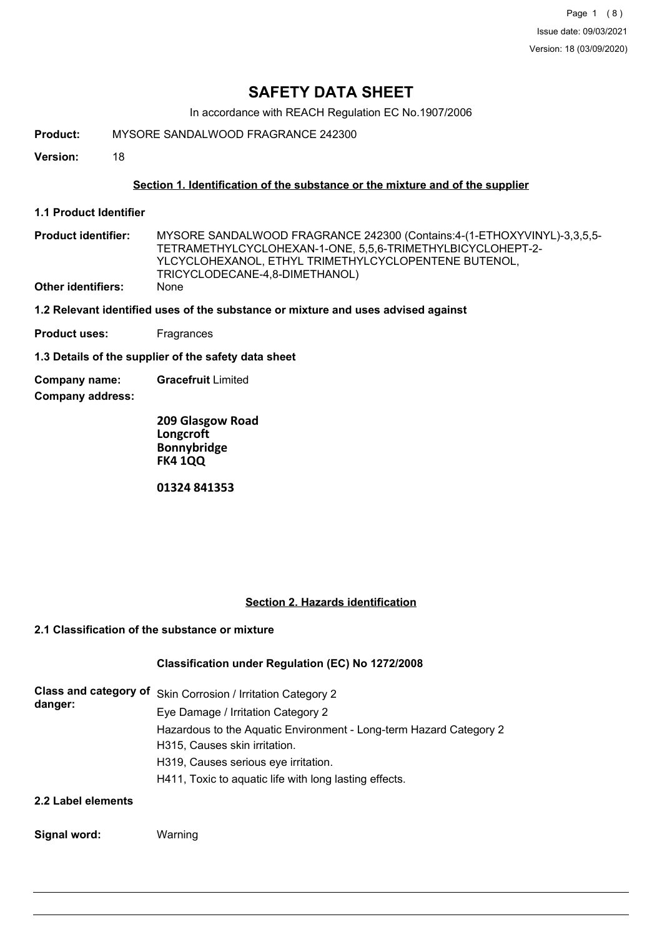# **SAFETY DATA SHEET**

In accordance with REACH Regulation EC No.1907/2006

**Product:** MYSORE SANDALWOOD FRAGRANCE 242300

**Version:** 18

### **Section 1. Identification of the substance or the mixture and of the supplier**

**1.1 Product Identifier**

MYSORE SANDALWOOD FRAGRANCE 242300 (Contains:4-(1-ETHOXYVINYL)-3,3,5,5- TETRAMETHYLCYCLOHEXAN-1-ONE, 5,5,6-TRIMETHYLBICYCLOHEPT-2- YLCYCLOHEXANOL, ETHYL TRIMETHYLCYCLOPENTENE BUTENOL, TRICYCLODECANE-4,8-DIMETHANOL) **Product identifier: Other identifiers:** 

**1.2 Relevant identified uses of the substance or mixture and uses advised against**

**Product uses:** Fragrances

**1.3 Details of the supplier of the safety data sheet**

**Company name: Gracefruit** Limited

**Company address:**

**209 Glasgow Road Longcroft Bonnybridge FK4 1QQ 01324 841353**

# **Section 2. Hazards identification**

# **2.1 Classification of the substance or mixture**

#### **Classification under Regulation (EC) No 1272/2008**

| danger:                 | Class and category of Skin Corrosion / Irritation Category 2       |
|-------------------------|--------------------------------------------------------------------|
|                         | Eye Damage / Irritation Category 2                                 |
|                         | Hazardous to the Aquatic Environment - Long-term Hazard Category 2 |
|                         | H315, Causes skin irritation.                                      |
|                         | H319, Causes serious eye irritation.                               |
|                         | H411, Toxic to aquatic life with long lasting effects.             |
| <b>881-1-1-1-2-2-1-</b> |                                                                    |

#### **2.2 Label elements**

**Signal word:** Warning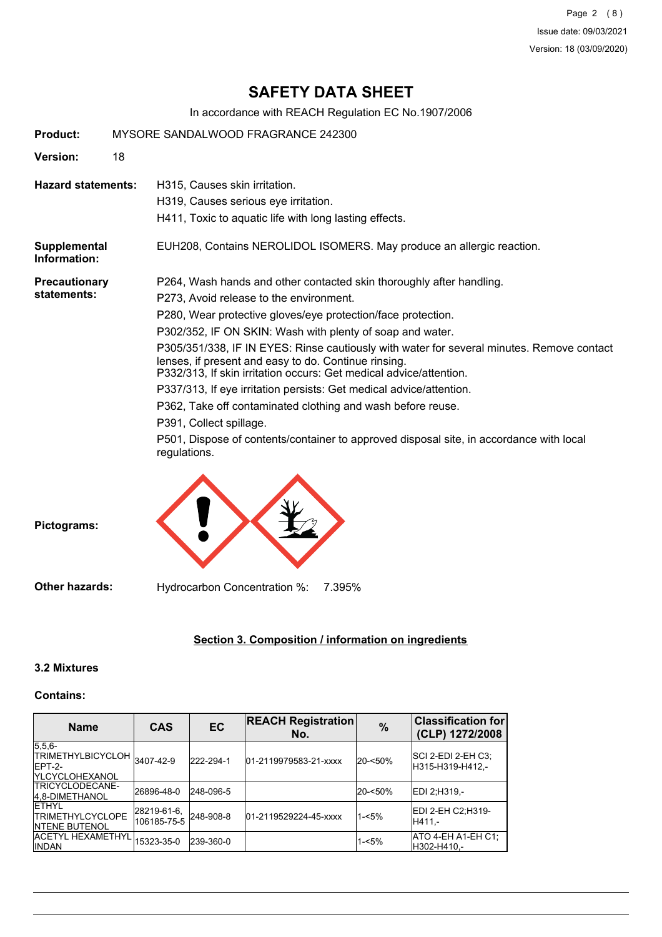Page 2 (8) Issue date: 09/03/2021 Version: 18 (03/09/2020)

# **SAFETY DATA SHEET**

In accordance with REACH Regulation EC No.1907/2006

| Product:                     | MYSORE SANDALWOOD FRAGRANCE 242300 |                                                                                                                                                                                                                         |
|------------------------------|------------------------------------|-------------------------------------------------------------------------------------------------------------------------------------------------------------------------------------------------------------------------|
| Version:                     | 18                                 |                                                                                                                                                                                                                         |
| <b>Hazard statements:</b>    |                                    | H315, Causes skin irritation.                                                                                                                                                                                           |
|                              |                                    | H319, Causes serious eye irritation.                                                                                                                                                                                    |
|                              |                                    | H411, Toxic to aquatic life with long lasting effects.                                                                                                                                                                  |
| Supplemental<br>Information: |                                    | EUH208, Contains NEROLIDOL ISOMERS. May produce an allergic reaction.                                                                                                                                                   |
| <b>Precautionary</b>         |                                    | P264, Wash hands and other contacted skin thoroughly after handling.                                                                                                                                                    |
| statements:                  |                                    | P273, Avoid release to the environment.                                                                                                                                                                                 |
|                              |                                    | P280, Wear protective gloves/eye protection/face protection.                                                                                                                                                            |
|                              |                                    | P302/352, IF ON SKIN: Wash with plenty of soap and water.                                                                                                                                                               |
|                              |                                    | P305/351/338, IF IN EYES: Rinse cautiously with water for several minutes. Remove contact<br>lenses, if present and easy to do. Continue rinsing.<br>P332/313, If skin irritation occurs: Get medical advice/attention. |
|                              |                                    | P337/313, If eye irritation persists: Get medical advice/attention.                                                                                                                                                     |
|                              |                                    | P362, Take off contaminated clothing and wash before reuse.                                                                                                                                                             |
|                              |                                    | P391, Collect spillage.                                                                                                                                                                                                 |
|                              |                                    | P501, Dispose of contents/container to approved disposal site, in accordance with local<br>regulations.                                                                                                                 |
| Pictograms:                  |                                    |                                                                                                                                                                                                                         |

**Other hazards:** Hydrocarbon Concentration %: 7.395%

### **Section 3. Composition / information on ingredients**

## **3.2 Mixtures**

### **Contains:**

| <b>Name</b>                                                                  | <b>CAS</b>                 | <b>EC</b> | <b>REACH Registration</b><br>No. | $\frac{0}{0}$ | <b>Classification for</b><br>(CLP) 1272/2008 |
|------------------------------------------------------------------------------|----------------------------|-----------|----------------------------------|---------------|----------------------------------------------|
| $5,5,6-$<br>TRIMETHYLBICYCLOH 3407-42-9<br>IEPT-2-<br><b>IYLCYCLOHEXANOL</b> |                            | 222-294-1 | 01-2119979583-21-xxxx            | 20-<50%       | SCI 2-EDI 2-EH C3:<br>H315-H319-H412,-       |
| <b>ITRICYCLODECANE-</b><br>4.8-DIMETHANOL                                    | 26896-48-0                 | 248-096-5 |                                  | 20-<50%       | IEDI 2:H319.-                                |
| <b>IETHYL</b><br><b>ITRIMETHYLCYCLOPE</b><br><b>INTENE BUTENOL</b>           | 28219-61-6,<br>106185-75-5 | 248-908-8 | 01-2119529224-45-xxxx            | $1 - 5%$      | EDI 2-EH C2:H319-<br>H411.-                  |
| ACETYL HEXAMETHYL<br><b>IINDAN</b>                                           | 15323-35-0                 | 239-360-0 |                                  | $1 - 5%$      | ATO 4-EH A1-EH C1;<br>IH302-H410.-           |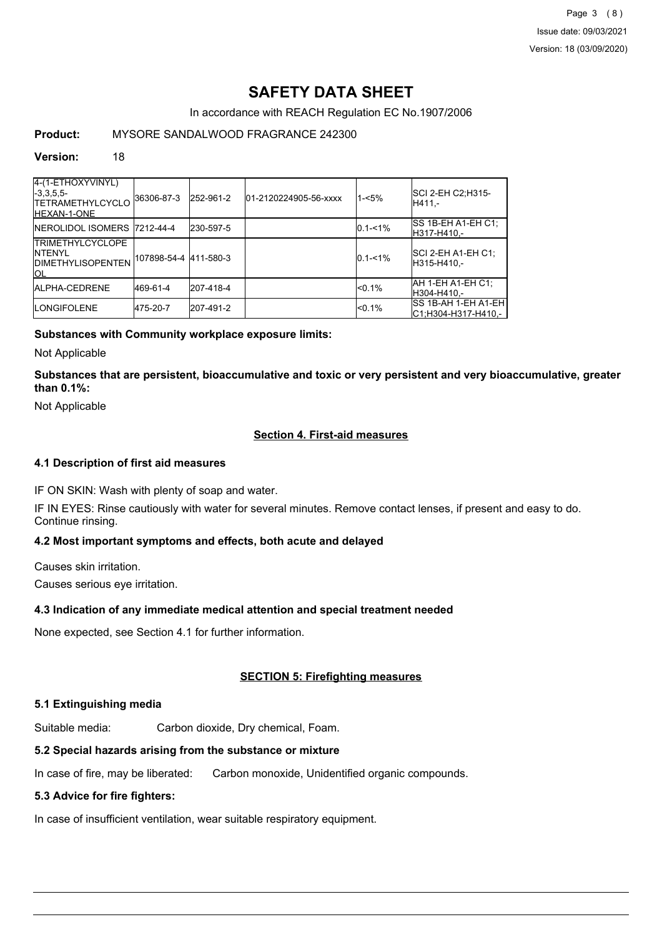Page 3 (8) Issue date: 09/03/2021 Version: 18 (03/09/2020)

# **SAFETY DATA SHEET**

In accordance with REACH Regulation EC No.1907/2006

# **Product:** MYSORE SANDALWOOD FRAGRANCE 242300

#### **Version:** 18

| 4-(1-ETHOXYVINYL)<br>$-3,3,5,5-$<br><b>TETRAMETHYLCYCLO</b><br><b>IHEXAN-1-ONE</b>   | 36306-87-3             | 252-961-2 | 01-2120224905-56-xxxx | $1 - 5%$    | SCI 2-EH C2;H315-<br>IH411.-                |
|--------------------------------------------------------------------------------------|------------------------|-----------|-----------------------|-------------|---------------------------------------------|
| <b>INEROLIDOL ISOMERS 7212-44-4</b>                                                  |                        | 230-597-5 |                       | $0.1 - 1\%$ | ISS 1B-EH A1-EH C1:<br>IH317-H410.-         |
| <b>TRIMETHYLCYCLOPE</b><br><b>INTENYL</b><br><b>IDIMETHYLISOPENTEN</b><br><b>IOL</b> | 107898-54-4  411-580-3 |           |                       | $0.1 - 1\%$ | ISCI 2-EH A1-EH C1:<br>IH315-H410.-         |
| <b>JALPHA-CEDRENE</b>                                                                | 469-61-4               | 207-418-4 |                       | < 0.1%      | AH 1-EH A1-EH C1:<br>IH304-H410.-           |
| <b>ILONGIFOLENE</b>                                                                  | 475-20-7               | 207-491-2 |                       | < 0.1%      | ISS 1B-AH 1-EH A1-EH<br>C1;H304-H317-H410,- |

### **Substances with Community workplace exposure limits:**

Not Applicable

**Substances that are persistent, bioaccumulative and toxic or very persistent and very bioaccumulative, greater than 0.1%:**

Not Applicable

## **Section 4. First-aid measures**

#### **4.1 Description of first aid measures**

IF ON SKIN: Wash with plenty of soap and water.

IF IN EYES: Rinse cautiously with water for several minutes. Remove contact lenses, if present and easy to do. Continue rinsing.

### **4.2 Most important symptoms and effects, both acute and delayed**

Causes skin irritation. Causes serious eye irritation.

#### **4.3 Indication of any immediate medical attention and special treatment needed**

None expected, see Section 4.1 for further information.

#### **SECTION 5: Firefighting measures**

#### **5.1 Extinguishing media**

Suitable media: Carbon dioxide, Dry chemical, Foam.

# **5.2 Special hazards arising from the substance or mixture**

In case of fire, may be liberated: Carbon monoxide, Unidentified organic compounds.

# **5.3 Advice for fire fighters:**

In case of insufficient ventilation, wear suitable respiratory equipment.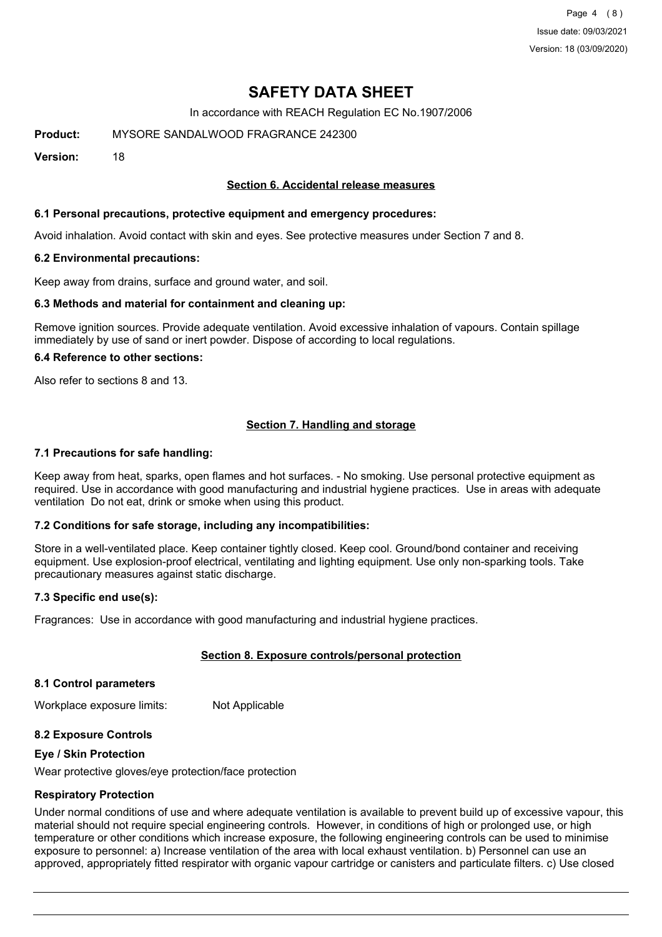Page 4 (8) Issue date: 09/03/2021 Version: 18 (03/09/2020)

# **SAFETY DATA SHEET**

In accordance with REACH Regulation EC No.1907/2006

**Product:** MYSORE SANDALWOOD FRAGRANCE 242300

**Version:** 18

### **Section 6. Accidental release measures**

#### **6.1 Personal precautions, protective equipment and emergency procedures:**

Avoid inhalation. Avoid contact with skin and eyes. See protective measures under Section 7 and 8.

#### **6.2 Environmental precautions:**

Keep away from drains, surface and ground water, and soil.

#### **6.3 Methods and material for containment and cleaning up:**

Remove ignition sources. Provide adequate ventilation. Avoid excessive inhalation of vapours. Contain spillage immediately by use of sand or inert powder. Dispose of according to local regulations.

#### **6.4 Reference to other sections:**

Also refer to sections 8 and 13.

### **Section 7. Handling and storage**

#### **7.1 Precautions for safe handling:**

Keep away from heat, sparks, open flames and hot surfaces. - No smoking. Use personal protective equipment as required. Use in accordance with good manufacturing and industrial hygiene practices. Use in areas with adequate ventilation Do not eat, drink or smoke when using this product.

#### **7.2 Conditions for safe storage, including any incompatibilities:**

Store in a well-ventilated place. Keep container tightly closed. Keep cool. Ground/bond container and receiving equipment. Use explosion-proof electrical, ventilating and lighting equipment. Use only non-sparking tools. Take precautionary measures against static discharge.

#### **7.3 Specific end use(s):**

Fragrances: Use in accordance with good manufacturing and industrial hygiene practices.

#### **Section 8. Exposure controls/personal protection**

#### **8.1 Control parameters**

Workplace exposure limits: Not Applicable

#### **8.2 Exposure Controls**

#### **Eye / Skin Protection**

Wear protective gloves/eye protection/face protection

#### **Respiratory Protection**

Under normal conditions of use and where adequate ventilation is available to prevent build up of excessive vapour, this material should not require special engineering controls. However, in conditions of high or prolonged use, or high temperature or other conditions which increase exposure, the following engineering controls can be used to minimise exposure to personnel: a) Increase ventilation of the area with local exhaust ventilation. b) Personnel can use an approved, appropriately fitted respirator with organic vapour cartridge or canisters and particulate filters. c) Use closed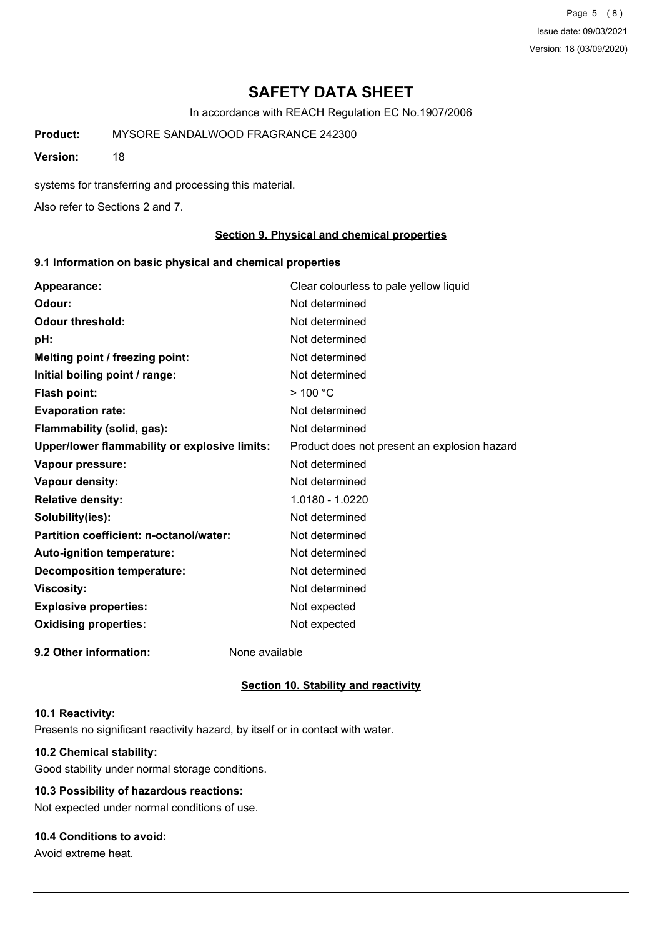Page 5 (8) Issue date: 09/03/2021 Version: 18 (03/09/2020)

# **SAFETY DATA SHEET**

In accordance with REACH Regulation EC No.1907/2006

**Product:** MYSORE SANDALWOOD FRAGRANCE 242300

**Version:** 18

systems for transferring and processing this material.

Also refer to Sections 2 and 7.

#### **Section 9. Physical and chemical properties**

#### **9.1 Information on basic physical and chemical properties**

| Appearance:                                   | Clear colourless to pale yellow liquid       |
|-----------------------------------------------|----------------------------------------------|
| Odour:                                        | Not determined                               |
| <b>Odour threshold:</b>                       | Not determined                               |
| pH:                                           | Not determined                               |
| Melting point / freezing point:               | Not determined                               |
| Initial boiling point / range:                | Not determined                               |
| Flash point:                                  | $>$ 100 °C                                   |
| <b>Evaporation rate:</b>                      | Not determined                               |
| Flammability (solid, gas):                    | Not determined                               |
| Upper/lower flammability or explosive limits: | Product does not present an explosion hazard |
| Vapour pressure:                              | Not determined                               |
| Vapour density:                               | Not determined                               |
| <b>Relative density:</b>                      | 1.0180 - 1.0220                              |
| Solubility(ies):                              | Not determined                               |
| Partition coefficient: n-octanol/water:       | Not determined                               |
| Auto-ignition temperature:                    | Not determined                               |
| <b>Decomposition temperature:</b>             | Not determined                               |
| <b>Viscosity:</b>                             | Not determined                               |
| <b>Explosive properties:</b>                  | Not expected                                 |
| <b>Oxidising properties:</b>                  | Not expected                                 |
| 9.2 Other information:                        | None available                               |

#### **Section 10. Stability and reactivity**

#### **10.1 Reactivity:**

Presents no significant reactivity hazard, by itself or in contact with water.

# **10.2 Chemical stability:**

Good stability under normal storage conditions.

# **10.3 Possibility of hazardous reactions:**

Not expected under normal conditions of use.

## **10.4 Conditions to avoid:**

Avoid extreme heat.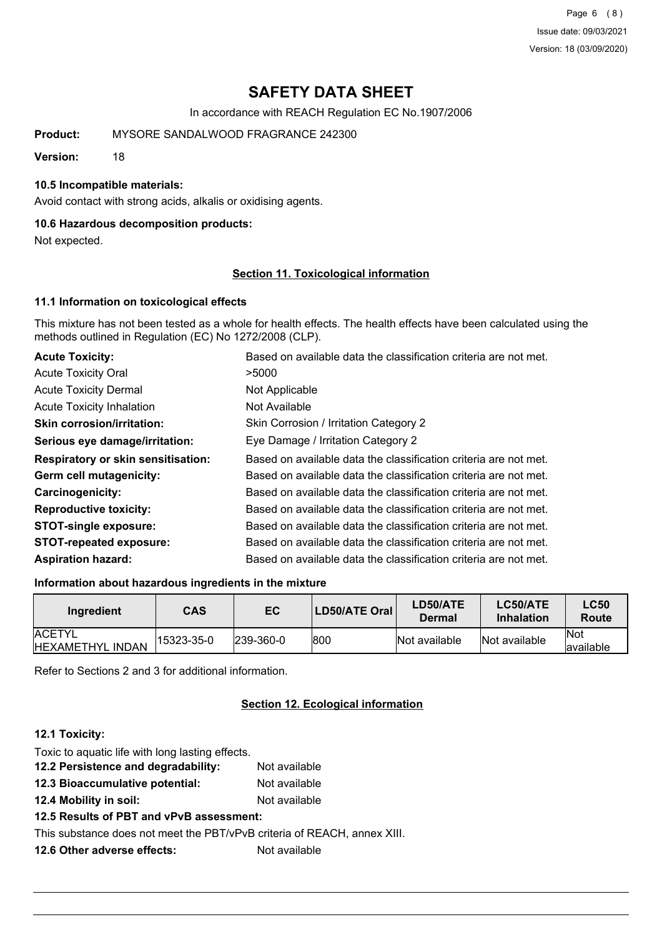Page 6 (8) Issue date: 09/03/2021 Version: 18 (03/09/2020)

# **SAFETY DATA SHEET**

In accordance with REACH Regulation EC No.1907/2006

**Product:** MYSORE SANDALWOOD FRAGRANCE 242300

**Version:** 18

#### **10.5 Incompatible materials:**

Avoid contact with strong acids, alkalis or oxidising agents.

#### **10.6 Hazardous decomposition products:**

Not expected.

#### **Section 11. Toxicological information**

#### **11.1 Information on toxicological effects**

This mixture has not been tested as a whole for health effects. The health effects have been calculated using the methods outlined in Regulation (EC) No 1272/2008 (CLP).

| <b>Acute Toxicity:</b>                    | Based on available data the classification criteria are not met. |
|-------------------------------------------|------------------------------------------------------------------|
| <b>Acute Toxicity Oral</b>                | >5000                                                            |
| <b>Acute Toxicity Dermal</b>              | Not Applicable                                                   |
| <b>Acute Toxicity Inhalation</b>          | Not Available                                                    |
| <b>Skin corrosion/irritation:</b>         | Skin Corrosion / Irritation Category 2                           |
| Serious eye damage/irritation:            | Eye Damage / Irritation Category 2                               |
| <b>Respiratory or skin sensitisation:</b> | Based on available data the classification criteria are not met. |
| Germ cell mutagenicity:                   | Based on available data the classification criteria are not met. |
| <b>Carcinogenicity:</b>                   | Based on available data the classification criteria are not met. |
| <b>Reproductive toxicity:</b>             | Based on available data the classification criteria are not met. |
| <b>STOT-single exposure:</b>              | Based on available data the classification criteria are not met. |
| <b>STOT-repeated exposure:</b>            | Based on available data the classification criteria are not met. |
| <b>Aspiration hazard:</b>                 | Based on available data the classification criteria are not met. |

#### **Information about hazardous ingredients in the mixture**

| Ingredient                                | CAS        | EC           | LD50/ATE Oral | <b>LD50/ATE</b><br>Dermal | LC50/ATE<br>Inhalation | <b>LC50</b><br>Route |
|-------------------------------------------|------------|--------------|---------------|---------------------------|------------------------|----------------------|
| <b>ACETYL</b><br><b>IHEXAMETHYL INDAN</b> | 15323-35-0 | $ 239-360-0$ | 1800          | Not available             | Not available          | lNot<br>lavailable   |

Refer to Sections 2 and 3 for additional information.

# **Section 12. Ecological information**

#### **12.1 Toxicity:**

Toxic to aquatic life with long lasting effects.

- **12.2 Persistence and degradability:** Not available
- **12.3 Bioaccumulative potential:** Not available
- **12.4 Mobility in soil:** Not available
- **12.5 Results of PBT and vPvB assessment:**

This substance does not meet the PBT/vPvB criteria of REACH, annex XIII.

**12.6 Other adverse effects:** Not available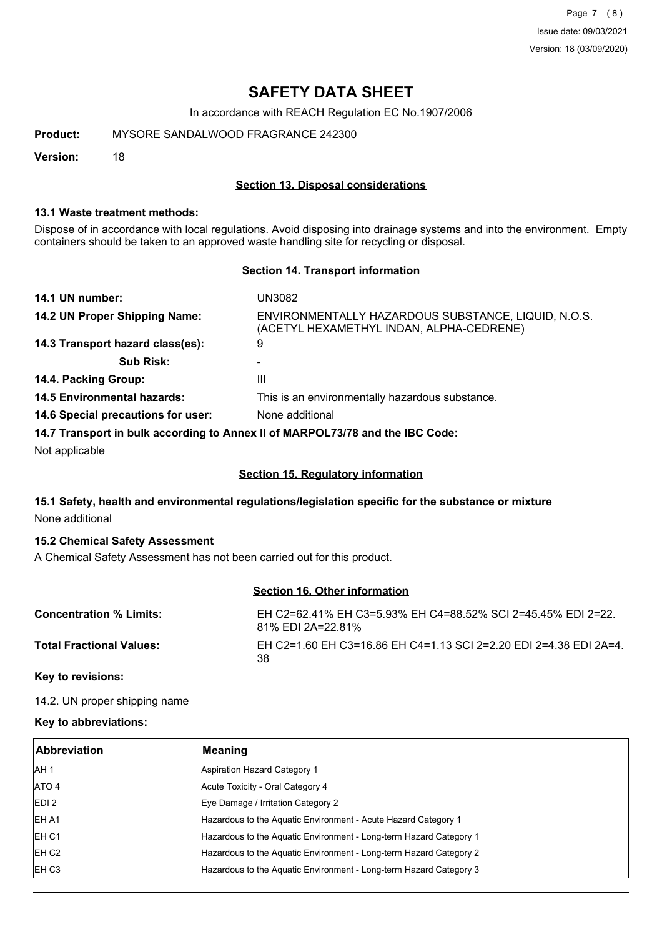Page 7 (8) Issue date: 09/03/2021 Version: 18 (03/09/2020)

# **SAFETY DATA SHEET**

In accordance with REACH Regulation EC No.1907/2006

**Product:** MYSORE SANDALWOOD FRAGRANCE 242300

**Version:** 18

#### **Section 13. Disposal considerations**

#### **13.1 Waste treatment methods:**

Dispose of in accordance with local regulations. Avoid disposing into drainage systems and into the environment. Empty containers should be taken to an approved waste handling site for recycling or disposal.

#### **Section 14. Transport information**

| 14.1 UN number:                    | UN3082                                                                                          |
|------------------------------------|-------------------------------------------------------------------------------------------------|
| 14.2 UN Proper Shipping Name:      | ENVIRONMENTALLY HAZARDOUS SUBSTANCE, LIQUID, N.O.S.<br>(ACETYL HEXAMETHYL INDAN, ALPHA-CEDRENE) |
| 14.3 Transport hazard class(es):   | 9                                                                                               |
| <b>Sub Risk:</b>                   |                                                                                                 |
| 14.4. Packing Group:               | Ш                                                                                               |
| <b>14.5 Environmental hazards:</b> | This is an environmentally hazardous substance.                                                 |
| 14.6 Special precautions for user: | None additional                                                                                 |
|                                    | 14.7 Transport in bulk according to Anney II of MARPOL 73/78 and the IRC Code:                  |

**14.7 Transport in bulk according to Annex II of MARPOL73/78 and the IBC Code:**

Not applicable

# **Section 15. Regulatory information**

# **15.1 Safety, health and environmental regulations/legislation specific for the substance or mixture** None additional

#### **15.2 Chemical Safety Assessment**

A Chemical Safety Assessment has not been carried out for this product.

## **Section 16. Other information**

| <b>Concentration % Limits:</b>  | EH C2=62.41% EH C3=5.93% EH C4=88.52% SCI 2=45.45% EDI 2=22.<br>81% EDI 2A=22.81% |
|---------------------------------|-----------------------------------------------------------------------------------|
| <b>Total Fractional Values:</b> | EH C2=1.60 EH C3=16.86 EH C4=1.13 SCI 2=2.20 EDI 2=4.38 EDI 2A=4.<br>38           |

### **Key to revisions:**

14.2. UN proper shipping name

#### **Key to abbreviations:**

| <b>Abbreviation</b> | Meaning                                                            |
|---------------------|--------------------------------------------------------------------|
| IAH 1               | Aspiration Hazard Category 1                                       |
| ATO 4               | Acute Toxicity - Oral Category 4                                   |
| EDI <sub>2</sub>    | Eye Damage / Irritation Category 2                                 |
| IEH A1              | Hazardous to the Aquatic Environment - Acute Hazard Category 1     |
| IEH <sub>C1</sub>   | Hazardous to the Aquatic Environment - Long-term Hazard Category 1 |
| EH C <sub>2</sub>   | Hazardous to the Aquatic Environment - Long-term Hazard Category 2 |
| IEH C3              | Hazardous to the Aquatic Environment - Long-term Hazard Category 3 |